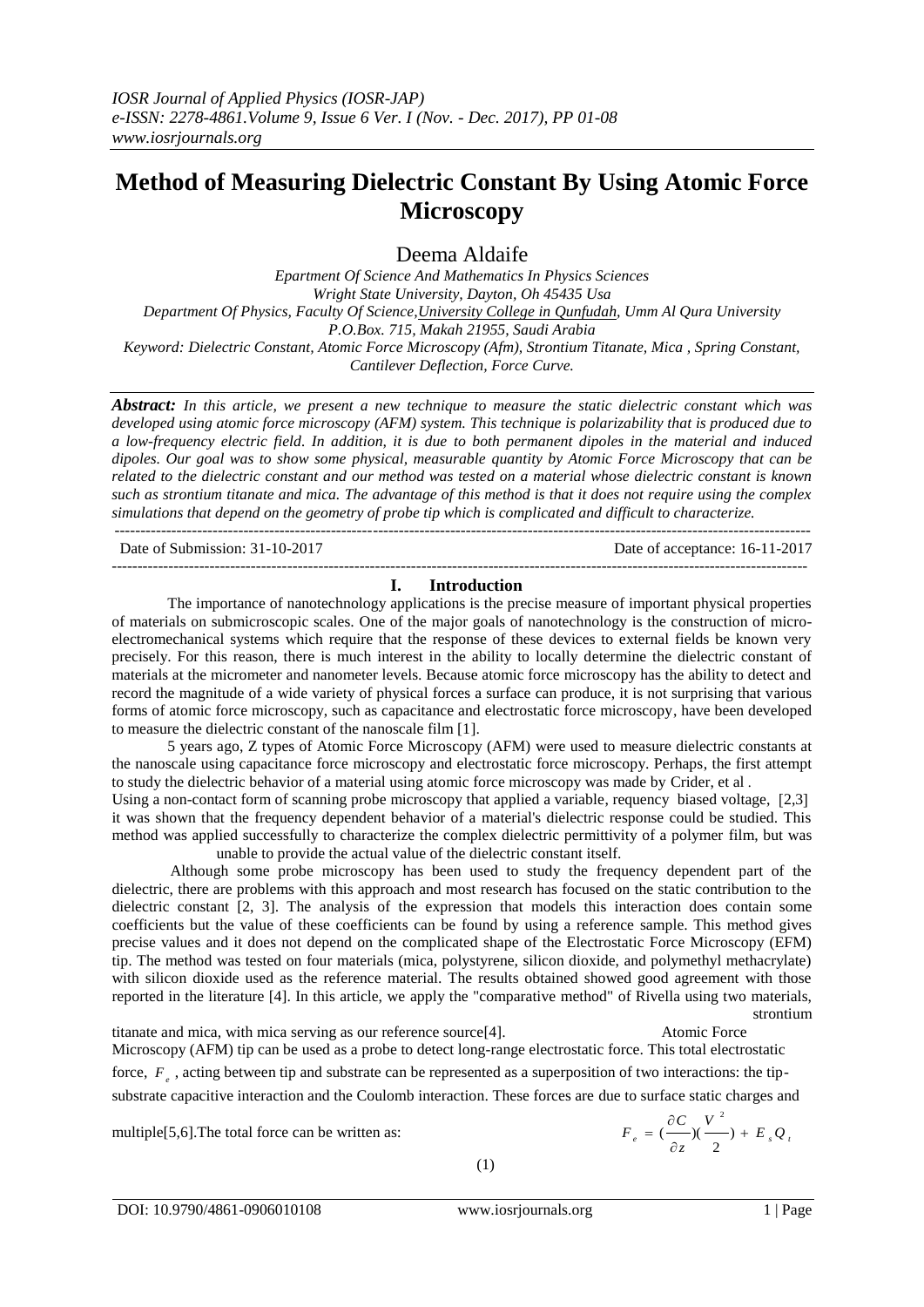# **Method of Measuring Dielectric Constant By Using Atomic Force Microscopy**

Deema Aldaife

*Epartment Of Science And Mathematics In Physics Sciences Wright State University, Dayton, Oh 45435 Usa Department Of Physics, Faculty Of Science,University College in Qunfudah, Umm Al Qura University P.O.Box. 715, Makah 21955, Saudi Arabia Keyword: Dielectric Constant, Atomic Force Microscopy (Afm), Strontium Titanate, Mica , Spring Constant, Cantilever Deflection, Force Curve.*

*Abstract: In this article, we present a new technique to measure the static dielectric constant which was developed using atomic force microscopy (AFM) system. This technique is polarizability that is produced due to a low-frequency electric field. In addition, it is due to both permanent dipoles in the material and induced dipoles. Our goal was to show some physical, measurable quantity by Atomic Force Microscopy that can be related to the dielectric constant and our method was tested on a material whose dielectric constant is known such as strontium titanate and mica. The advantage of this method is that it does not require using the complex simulations that depend on the geometry of probe tip which is complicated and difficult to characterize.*

--------------------------------------------------------------------------------------------------------------------------------------- Date of Submission: 31-10-2017 Date of acceptance: 16-11-2017

---------------------------------------------------------------------------------------------------------------------------------------

### **I. Introduction**

The importance of nanotechnology applications is the precise measure of important physical properties of materials on submicroscopic scales. One of the major goals of nanotechnology is the construction of microelectromechanical systems which require that the response of these devices to external fields be known very precisely. For this reason, there is much interest in the ability to locally determine the dielectric constant of materials at the micrometer and nanometer levels. Because atomic force microscopy has the ability to detect and record the magnitude of a wide variety of physical forces a surface can produce, it is not surprising that various forms of atomic force microscopy, such as capacitance and electrostatic force microscopy, have been developed to measure the dielectric constant of the nanoscale film [1].

5 years ago, Z types of Atomic Force Microscopy (AFM) were used to measure dielectric constants at the nanoscale using capacitance force microscopy and electrostatic force microscopy. Perhaps, the first attempt to study the dielectric behavior of a material using atomic force microscopy was made by Crider, et al .

Using a non-contact form of scanning probe microscopy that applied a variable, requency biased voltage, [2,3] it was shown that the frequency dependent behavior of a material's dielectric response could be studied. This method was applied successfully to characterize the complex dielectric permittivity of a polymer film, but was unable to provide the actual value of the dielectric constant itself.

 Although some probe microscopy has been used to study the frequency dependent part of the dielectric, there are problems with this approach and most research has focused on the static contribution to the dielectric constant [2, 3]. The analysis of the expression that models this interaction does contain some coefficients but the value of these coefficients can be found by using a reference sample. This method gives precise values and it does not depend on the complicated shape of the Electrostatic Force Microscopy (EFM) tip. The method was tested on four materials (mica, polystyrene, silicon dioxide, and polymethyl methacrylate) with silicon dioxide used as the reference material. The results obtained showed good agreement with those reported in the literature [4]. In this article, we apply the "comparative method" of Rivella using two materials, strontium

titanate and mica, with mica serving as our reference source[4]. Atomic Force Microscopy (AFM) tip can be used as a probe to detect long-range electrostatic force. This total electrostatic force,  $F_e$ , acting between tip and substrate can be represented as a superposition of two interactions: the tipsubstrate capacitive interaction and the Coulomb interaction. These forces are due to surface static charges and

multiple<sup>[5,6]</sup>.The total force can be written as:

$$
F_e = \left(\frac{\partial C}{\partial z}\right)\left(\frac{V^2}{2}\right) + E_s Q_t
$$

(1)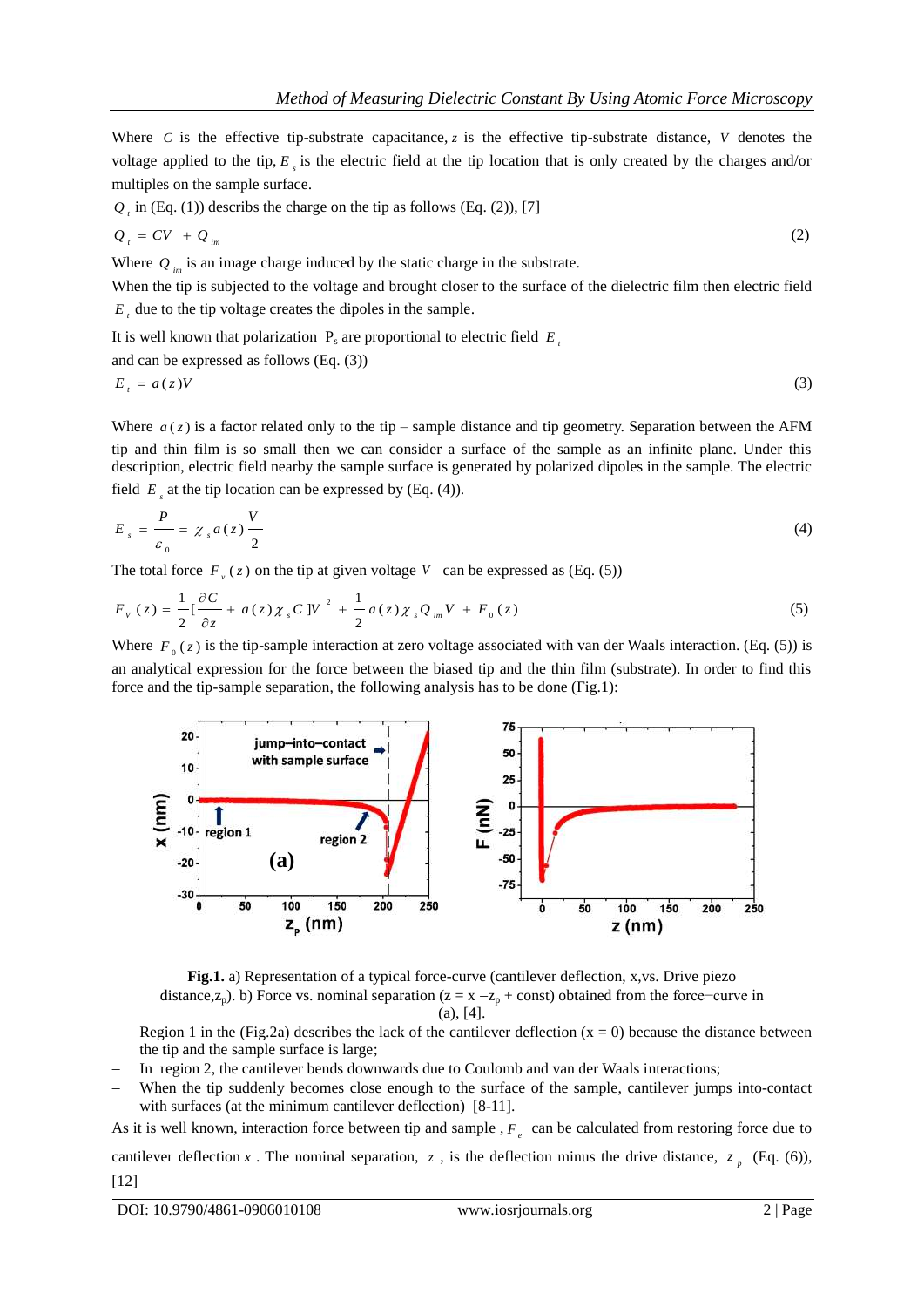Where  $C$  is the effective tip-substrate capacitance,  $z$  is the effective tip-substrate distance,  $V$  denotes the voltage applied to the tip,  $E<sub>s</sub>$  is the electric field at the tip location that is only created by the charges and/or multiples on the sample surface.

$$
Q_i
$$
 in (Eq. (1)) describes the charge on the tip as follows (Eq. (2)), [7]

$$
Q_t = CV + Q_{im} \tag{2}
$$

Where  $Q_{im}$  is an image charge induced by the static charge in the substrate.

When the tip is subjected to the voltage and brought closer to the surface of the dielectric film then electric field  $E_t$  due to the tip voltage creates the dipoles in the sample.

It is well known that polarization  $P_s$  are proportional to electric field  $E_i$ 

and can be expressed as follows 
$$
(Eq. (3))
$$

$$
E_t = a(z)V \tag{3}
$$

Where  $a(z)$  is a factor related only to the tip – sample distance and tip geometry. Separation between the AFM tip and thin film is so small then we can consider a surface of the sample as an infinite plane. Under this description, electric field nearby the sample surface is generated by polarized dipoles in the sample. The electric field  $E_s$  at the tip location can be expressed by (Eq. (4)).

$$
E_s = \frac{P}{\varepsilon_0} = \chi_s a(z) \frac{V}{2}
$$
 (4)

The total force  $F_{\nu}(z)$  on the tip at given voltage  $V$  can be expressed as (Eq. (5))

$$
F_V(z) = \frac{1}{2} \left[ \frac{\partial C}{\partial z} + a(z) \chi_s C \right] V^2 + \frac{1}{2} a(z) \chi_s Q_{im} V + F_0(z)
$$
 (5)

Where  $F_0(z)$  is the tip-sample interaction at zero voltage associated with van der Waals interaction. (Eq. (5)) is an analytical expression for the force between the biased tip and the thin film (substrate). In order to find this force and the tip-sample separation, the following analysis has to be done (Fig.1):



**Fig.1.** a) Representation of a typical force-curve (cantilever deflection, x,vs. Drive piezo distance, $z_p$ ). b) Force vs. nominal separation ( $z = x - z_p + const$ ) obtained from the force−curve in  $(a)$ , [4].

- Region 1 in the (Fig.2a) describes the lack of the cantilever deflection  $(x = 0)$  because the distance between the tip and the sample surface is large;
- In region 2, the cantilever bends downwards due to Coulomb and van der Waals interactions;
- When the tip suddenly becomes close enough to the surface of the sample, cantilever jumps into-contact with surfaces (at the minimum cantilever deflection) [8-11].

As it is well known, interaction force between tip and sample,  $F_e$  can be calculated from restoring force due to cantilever deflection x. The nominal separation, z, is the deflection minus the drive distance,  $z_p$  (Eq. (6)), [12]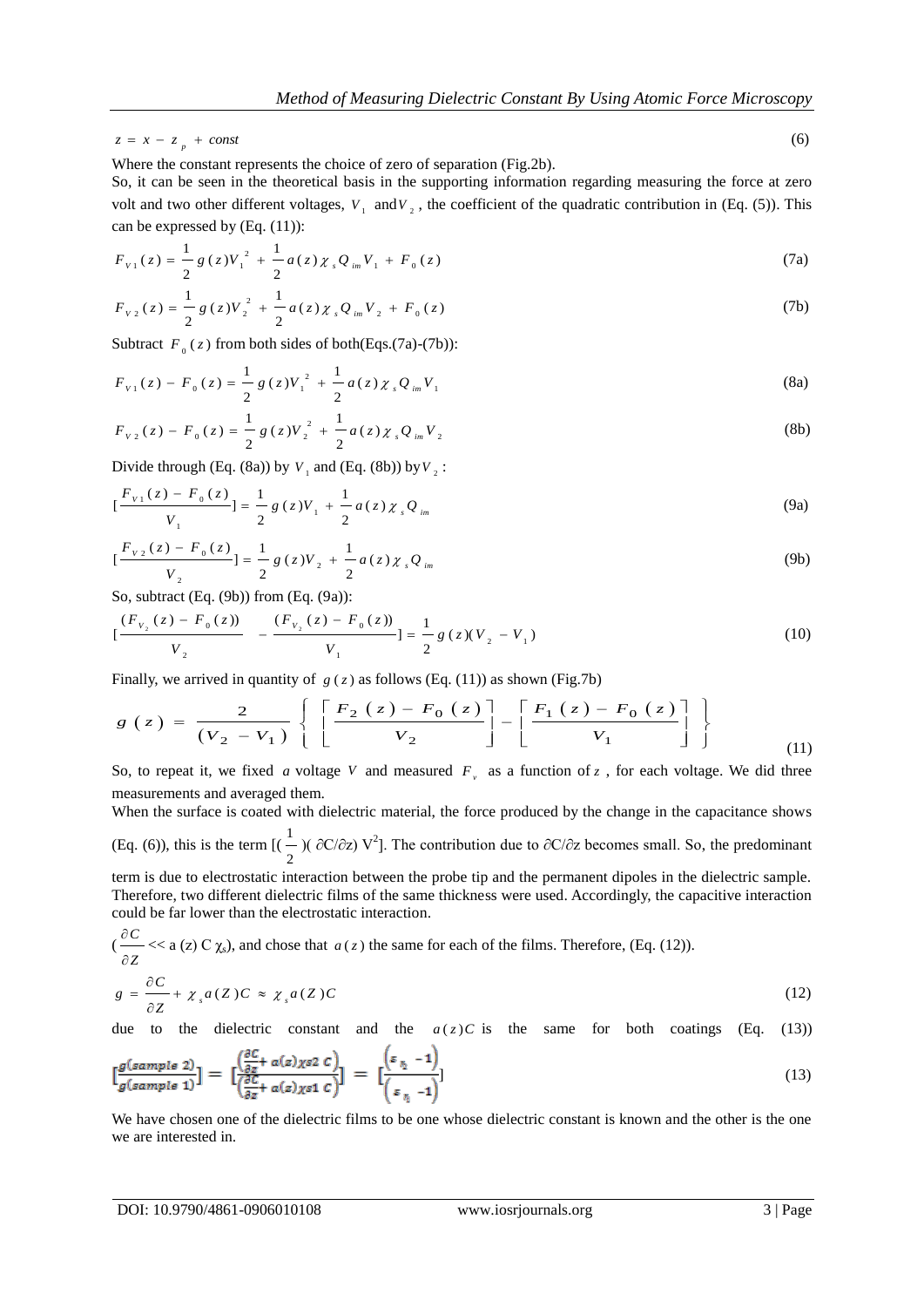$z = x - z_p + const$ 

Where the constant represents the choice of zero of separation (Fig.2b).

So, it can be seen in the theoretical basis in the supporting information regarding measuring the force at zero volt and two other different voltages,  $V_1$  and  $V_2$ , the coefficient of the quadratic contribution in (Eq. (5)). This can be expressed by (Eq. (11)):

$$
F_{v1}(z) = \frac{1}{2} g(z) V_1^2 + \frac{1}{2} a(z) \chi_s Q_{im} V_1 + F_0(z)
$$
 (7a)

$$
F_{v_2}(z) = \frac{1}{2} g(z) V_2^2 + \frac{1}{2} a(z) \chi_s Q_{im} V_2 + F_0(z)
$$
 (7b)

Subtract  $F_0(z)$  from both sides of both(Eqs.(7a)-(7b)):

$$
F_{v1}(z) - F_0(z) = \frac{1}{2} g(z) V_1^2 + \frac{1}{2} a(z) \chi_s Q_{im} V_1
$$
\n(8a)

$$
F_{v_2}(z) - F_0(z) = \frac{1}{2} g(z) V_2^2 + \frac{1}{2} a(z) \chi_s Q_{im} V_2
$$
 (8b)

Divide through (Eq. (8a)) by  $V_1$  and (Eq. (8b)) by  $V_2$ :

$$
\left[\frac{F_{v_1}(z) - F_0(z)}{V_1}\right] = \frac{1}{2} g(z) V_1 + \frac{1}{2} a(z) \chi_s Q_{im}
$$
\n(9a)

$$
\left[\frac{F_{v_2}(z) - F_0(z)}{V_2}\right] = \frac{1}{2} g(z) V_2 + \frac{1}{2} a(z) \chi_s Q_{im}
$$
\n(9b)

So, subtract (Eq. (9b)) from (Eq. (9a)):

$$
\left[\frac{(F_{v_2}(z) - F_0(z))}{V_2} - \frac{(F_{v_2}(z) - F_0(z))}{V_1}\right] = \frac{1}{2}g(z)(V_2 - V_1)
$$
\n(10)

Finally, we arrived in quantity of 
$$
g(z)
$$
 as follows (Eq. (11)) as shown (Fig.7b)  
\n
$$
g(z) = \frac{2}{(V_2 - V_1)} \left\{ \left[ \frac{F_2(z) - F_0(z)}{V_2} \right] - \left[ \frac{F_1(z) - F_0(z)}{V_1} \right] \right\}
$$
\n(11)

So, to repeat it, we fixed a voltage V and measured  $F<sub>v</sub>$  as a function of z, for each voltage. We did three measurements and averaged them.

When the surface is coated with dielectric material, the force produced by the change in the capacitance shows  $(Eq. (6))$ , this is the term  $[$ 2  $\frac{1}{2}$  (∂C/∂z) V<sup>2</sup>]. The contribution due to ∂C/∂z becomes small. So, the predominant

term is due to electrostatic interaction between the probe tip and the permanent dipoles in the dielectric sample. Therefore, two different dielectric films of the same thickness were used. Accordingly, the capacitive interaction could be far lower than the electrostatic interaction.

$$
(\frac{\partial C}{\partial Z} << a (z) C \chi_s), \text{ and chose that } a (z) \text{ the same for each of the films. Therefore, (Eq. (12)).}
$$
\n
$$
c_0 = \frac{\partial C}{\partial Z} + \chi_a (Z) C_0 \chi_a (Z) C_1 \qquad (12)
$$

$$
g = \frac{\partial C}{\partial Z} + \chi_s a(Z)C \approx \chi_s a(Z)C \tag{12}
$$

due to the dielectric constant and the  $a(z)C$  is the same for both coatings (Eq. (13))

$$
\left[\frac{g(sample\;2)}{g(sample\;1)}\right] = \left[\frac{\left(\frac{\partial C}{\partial z} + a(z)\chi s 2\;C\right)}{\left(\frac{\partial C}{\partial z} + a(z)\chi s 1\;C\right)}\right] = \left[\frac{\left(\varepsilon_{\frac{n}{\lambda}} - 1\right)}{\left(\varepsilon_{\frac{n}{\lambda}} - 1\right)}\right]
$$
(13)

We have chosen one of the dielectric films to be one whose dielectric constant is known and the other is the one we are interested in.

(6)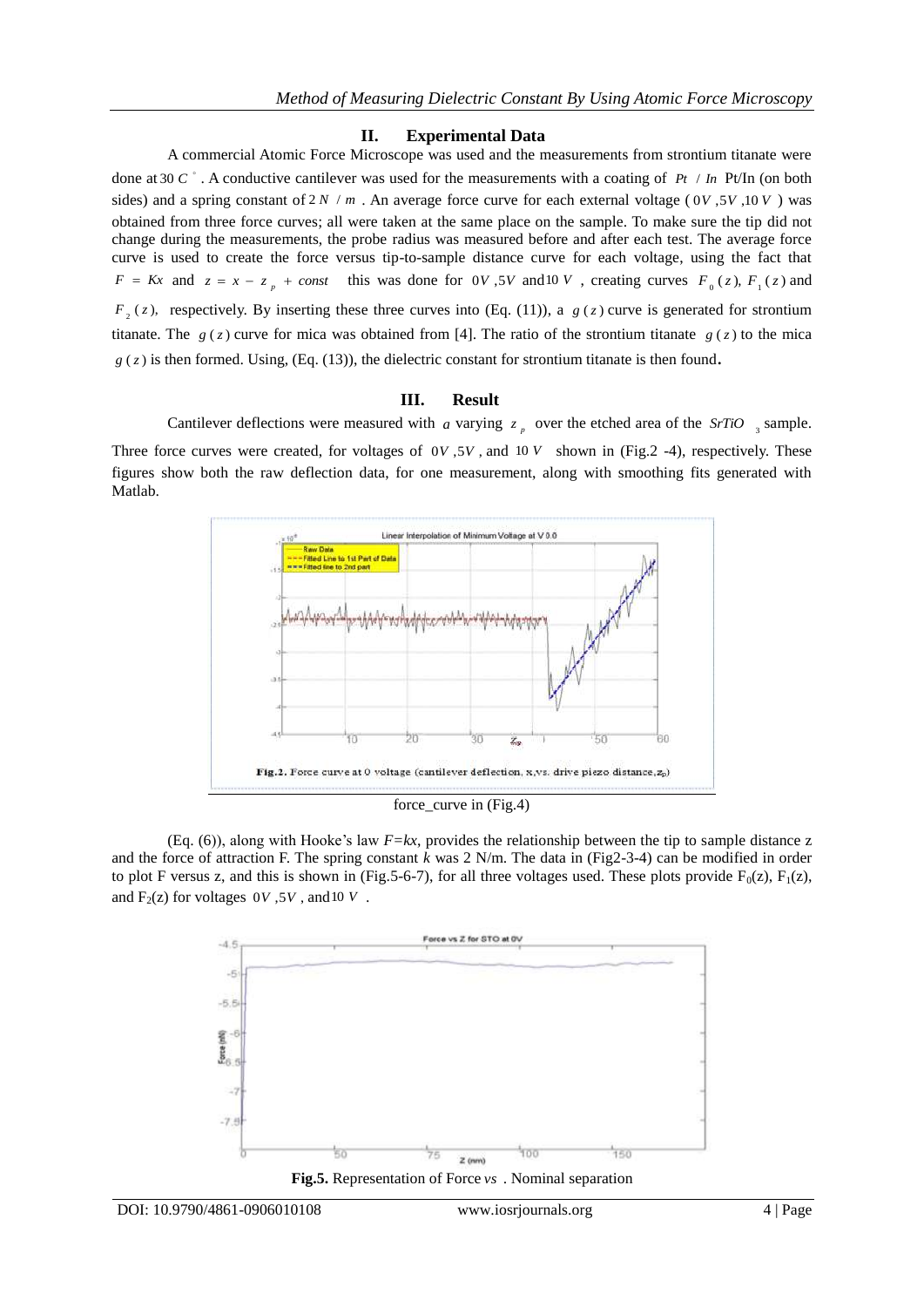## **II. Experimental Data**

A commercial Atomic Force Microscope was used and the measurements from strontium titanate were done at 30 *C* . A conductive cantilever was used for the measurements with a coating of *Pt* / *In* Pt/In (on both sides) and a spring constant of  $2N/m$ . An average force curve for each external voltage (0*V*, 5*V*, 10*V*) was obtained from three force curves; all were taken at the same place on the sample. To make sure the tip did not change during the measurements, the probe radius was measured before and after each test. The average force curve is used to create the force versus tip-to-sample distance curve for each voltage, using the fact that  $F = Kx$  and  $z = x - z_p + const$  this was done for 0*V*, 5*V* and 10*V*, creating curves  $F_0(z)$ ,  $F_1(z)$  and  $F_2(z)$ , respectively. By inserting these three curves into (Eq. (11)), a  $g(z)$  curve is generated for strontium titanate. The  $g(z)$  curve for mica was obtained from [4]. The ratio of the strontium titanate  $g(z)$  to the mica  $g(z)$  is then formed. Using, (Eq. (13)), the dielectric constant for strontium titanate is then found.

## **III. Result**

Cantilever deflections were measured with *a* varying  $z_p$  over the etched area of the *SrTiO*<sub>3</sub> sample. Three force curves were created, for voltages of  $0V$ ,  $5V$ , and  $10V$  shown in (Fig.2 -4), respectively. These figures show both the raw deflection data, for one measurement, along with smoothing fits generated with Matlab.



force\_curve in (Fig.4)

(Eq. (6)), along with Hooke's law *F=kx*, provides the relationship between the tip to sample distance z and the force of attraction F. The spring constant *k* was 2 N/m. The data in (Fig2-3-4) can be modified in order to plot F versus z, and this is shown in (Fig.5-6-7), for all three voltages used. These plots provide  $F_0(z)$ ,  $F_1(z)$ , and  $F_2(z)$  for voltages  $0V$ ,  $5V$ , and  $10V$ .

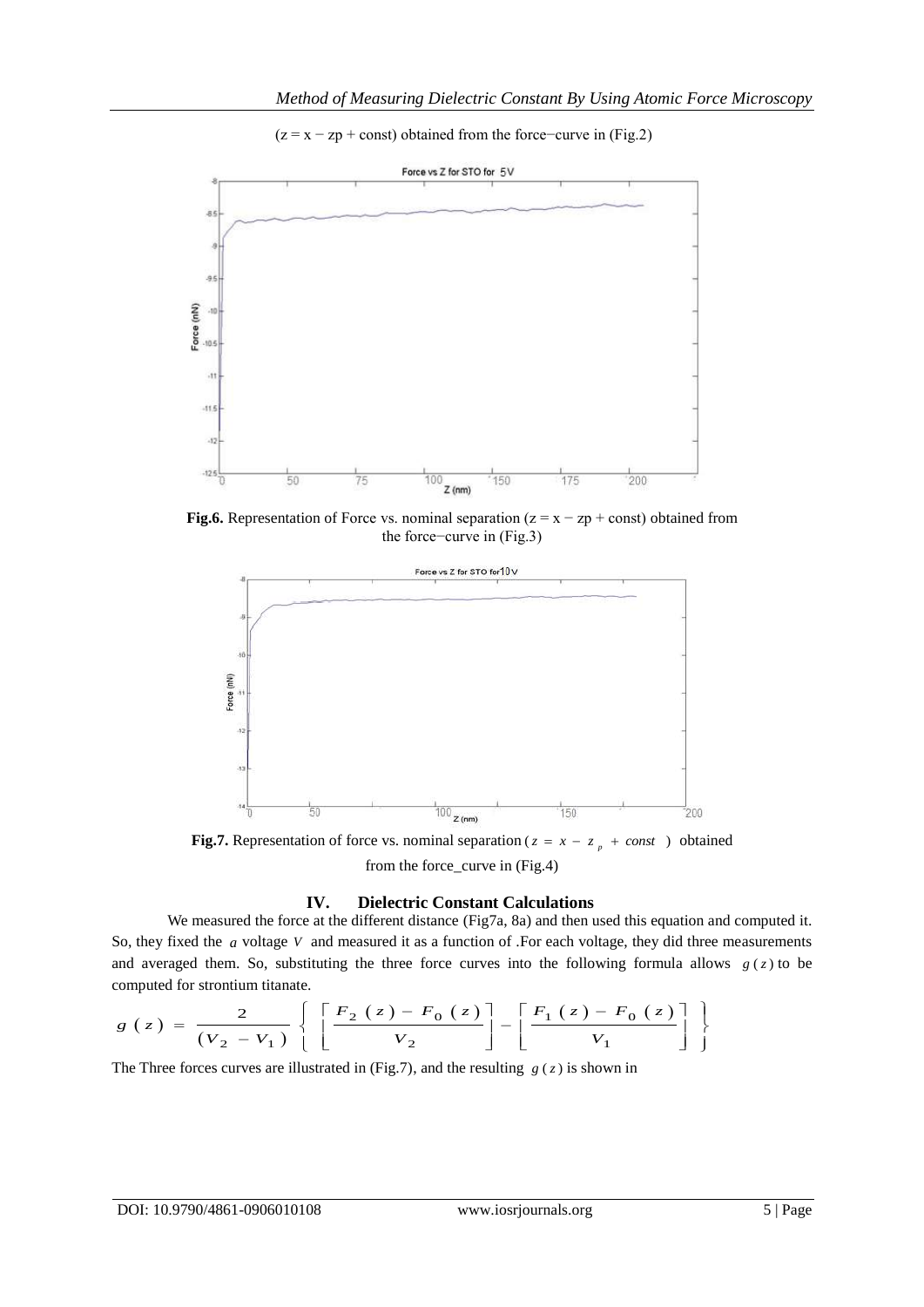$(z = x - zp + const)$  obtained from the force–curve in (Fig.2)



**Fig.6.** Representation of Force vs. nominal separation  $(z = x - zp + const)$  obtained from the force−curve in (Fig.3)



**Fig.7.** Representation of force vs. nominal separation ( $z = x - z_p + const$ ) obtained from the force\_curve in (Fig.4)

## **IV. Dielectric Constant Calculations**

We measured the force at the different distance (Fig7a, 8a) and then used this equation and computed it. So, they fixed the *a* voltage V and measured it as a function of .For each voltage, they did three measurements and averaged them. So, substituting the three force curves into the following formula allows  $g(z)$  to be computed for strontium titanate.<br>  $g(z) = \frac{2}{\sqrt{\left[\frac{F_2(z) - F_0(z)}{F_2(z)}\right]} - \left[\frac{F_1(z) - F_0(z)}{F_2(z)}\right]}$ 

computed for strontium itanate.  
\n
$$
g(z) = \frac{2}{(V_2 - V_1)} \left\{ \left[ \frac{F_2(z) - F_0(z)}{V_2} \right] - \left[ \frac{F_1(z) - F_0(z)}{V_1} \right] \right\}
$$

The Three forces curves are illustrated in (Fig.7), and the resulting  $g(z)$  is shown in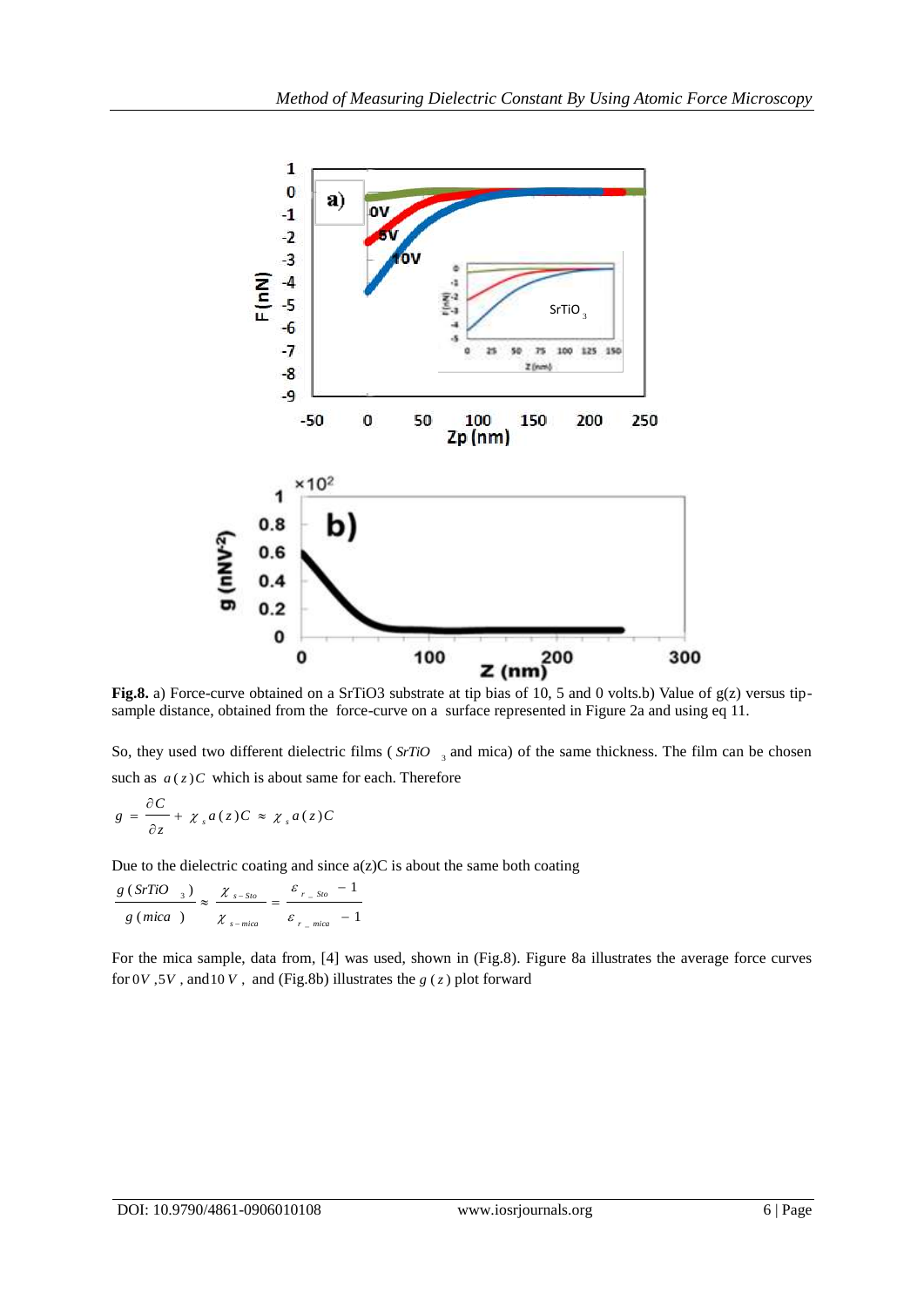

sample distance, obtained from the force-curve on a surface represented in Figure 2a and using eq 11.

So, they used two different dielectric films (SrTiO<sub>3</sub> and mica) of the same thickness. The film can be chosen such as  $a(z)C$  which is about same for each. Therefore

$$
g = \frac{\partial C}{\partial z} + \chi_s a(z) C \approx \chi_s a(z) C
$$

Due to the dielectric coating and since  $a(z)C$  is about the same both coating

$$
\frac{g(SrTiO_{3})}{g(mica)} \approx \frac{\chi_{s-sio}}{\chi_{s-mica}} = \frac{\varepsilon_{r_{s}Sio} - 1}{\varepsilon_{r_{s}-mica} - 1}
$$

For the mica sample, data from, [4] was used, shown in (Fig.8). Figure 8a illustrates the average force curves for  $0V$ ,  $5V$ , and  $10V$ , and (Fig.8b) illustrates the  $g(z)$  plot forward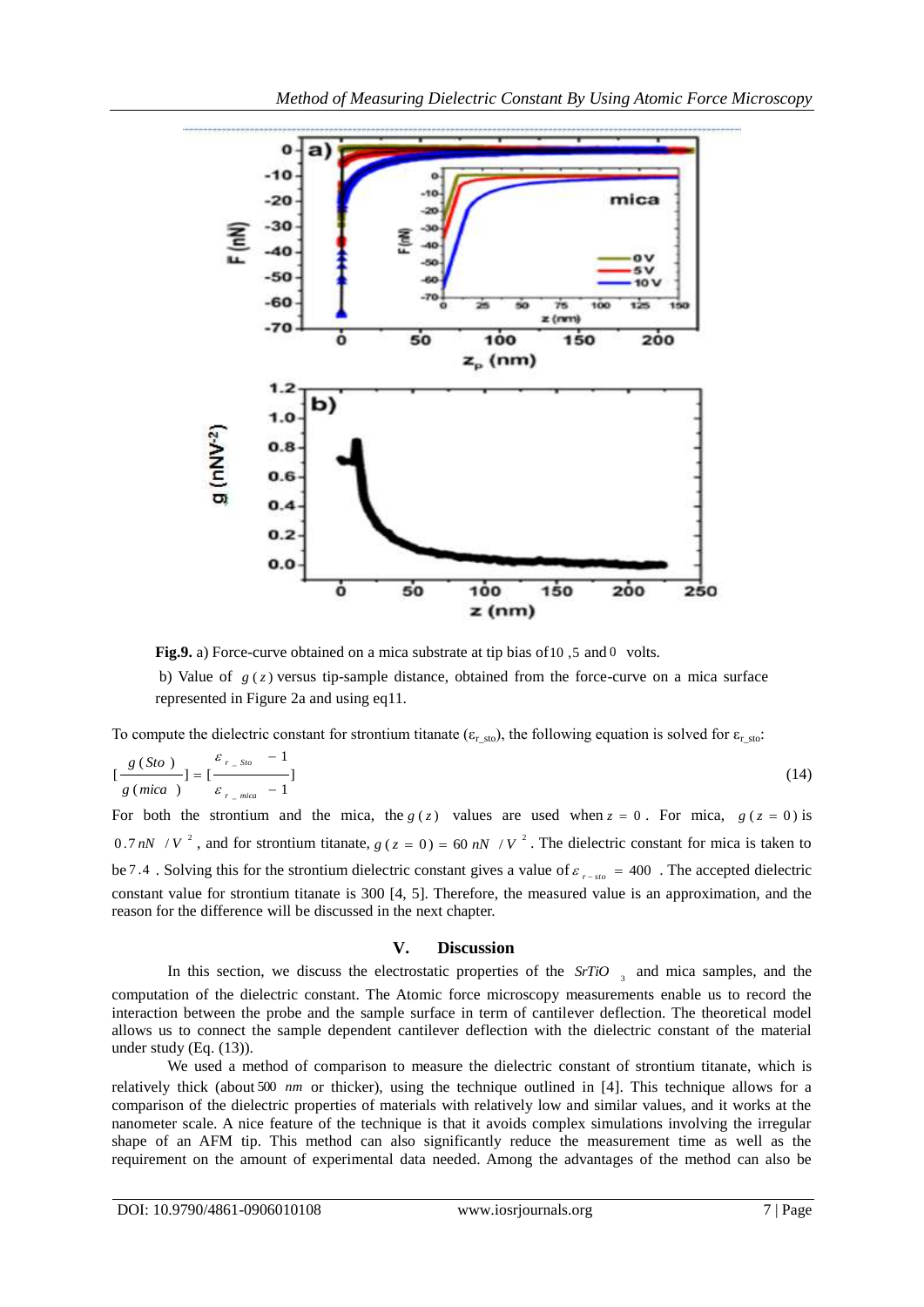

Fig.9. a) Force-curve obtained on a mica substrate at tip bias of 10,5 and 0 volts.

b) Value of  $g(z)$  versus tip-sample distance, obtained from the force-curve on a mica surface represented in Figure 2a and using eq11.

To compute the dielectric constant for strontium titanate ( $\varepsilon$ <sub>r sto</sub>), the following equation is solved for  $\varepsilon$ <sub>r\_sto</sub>:

$$
\left[\frac{g(Sto)}{g(mica)}\right] = \left[\frac{\varepsilon_{r\_Sto} - 1}{\varepsilon_{r\_mica} - 1}\right]
$$
\n(14)

For both the strontium and the mica, the  $g(z)$  values are used when  $z = 0$ . For mica,  $g(z = 0)$  is 0.7 *nN* / *V*<sup>2</sup>, and for strontium titanate,  $g(z = 0) = 60$  *nN* / *V*<sup>2</sup>. The dielectric constant for mica is taken to be 7.4. Solving this for the strontium dielectric constant gives a value of  $\varepsilon_{r-sto} = 400$ . The accepted dielectric constant value for strontium titanate is 300 [4, 5]. Therefore, the measured value is an approximation, and the reason for the difference will be discussed in the next chapter.

## **V. Discussion**

In this section, we discuss the electrostatic properties of the *SrTiO*<sub>3</sub> and mica samples, and the computation of the dielectric constant. The Atomic force microscopy measurements enable us to record the interaction between the probe and the sample surface in term of cantilever deflection. The theoretical model allows us to connect the sample dependent cantilever deflection with the dielectric constant of the material under study (Eq. (13)).

We used a method of comparison to measure the dielectric constant of strontium titanate, which is relatively thick (about 500 *nm* or thicker), using the technique outlined in [4]. This technique allows for a comparison of the dielectric properties of materials with relatively low and similar values, and it works at the nanometer scale. A nice feature of the technique is that it avoids complex simulations involving the irregular shape of an AFM tip. This method can also significantly reduce the measurement time as well as the requirement on the amount of experimental data needed. Among the advantages of the method can also be